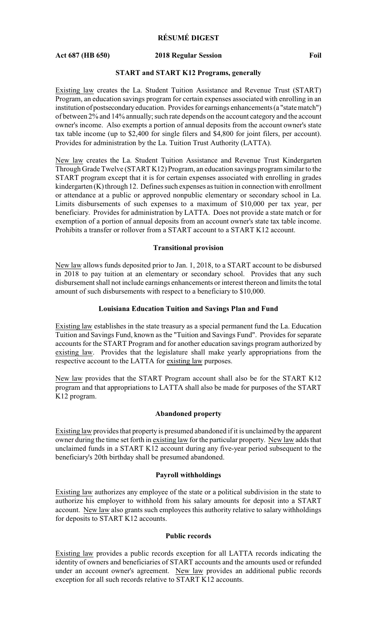# **RÉSUMÉ DIGEST**

#### **Act 687 (HB 650) 2018 Regular Session Foil**

#### **START and START K12 Programs, generally**

Existing law creates the La. Student Tuition Assistance and Revenue Trust (START) Program, an education savings program for certain expenses associated with enrolling in an institution of postsecondaryeducation. Provides for earnings enhancements (a "state match") of between 2% and 14% annually; such rate depends on the account category and the account owner's income. Also exempts a portion of annual deposits from the account owner's state tax table income (up to \$2,400 for single filers and \$4,800 for joint filers, per account). Provides for administration by the La. Tuition Trust Authority (LATTA).

New law creates the La. Student Tuition Assistance and Revenue Trust Kindergarten Through Grade Twelve (START K12) Program, an education savings program similar to the START program except that it is for certain expenses associated with enrolling in grades kindergarten (K) through 12. Defines such expenses as tuition in connection with enrollment or attendance at a public or approved nonpublic elementary or secondary school in La. Limits disbursements of such expenses to a maximum of \$10,000 per tax year, per beneficiary. Provides for administration by LATTA. Does not provide a state match or for exemption of a portion of annual deposits from an account owner's state tax table income. Prohibits a transfer or rollover from a START account to a START K12 account.

### **Transitional provision**

New law allows funds deposited prior to Jan. 1, 2018, to a START account to be disbursed in 2018 to pay tuition at an elementary or secondary school. Provides that any such disbursement shall not include earnings enhancements or interest thereon and limits the total amount of such disbursements with respect to a beneficiary to \$10,000.

#### **Louisiana Education Tuition and Savings Plan and Fund**

Existing law establishes in the state treasury as a special permanent fund the La. Education Tuition and Savings Fund, known as the "Tuition and Savings Fund". Provides for separate accounts for the START Program and for another education savings program authorized by existing law. Provides that the legislature shall make yearly appropriations from the respective account to the LATTA for existing law purposes.

New law provides that the START Program account shall also be for the START K12 program and that appropriations to LATTA shall also be made for purposes of the START K12 program.

#### **Abandoned property**

Existing law provides that property is presumed abandoned if it is unclaimed by the apparent owner during the time set forth in existing law for the particular property. New law adds that unclaimed funds in a START K12 account during any five-year period subsequent to the beneficiary's 20th birthday shall be presumed abandoned.

#### **Payroll withholdings**

Existing law authorizes any employee of the state or a political subdivision in the state to authorize his employer to withhold from his salary amounts for deposit into a START account. New law also grants such employees this authority relative to salary withholdings for deposits to START K12 accounts.

### **Public records**

Existing law provides a public records exception for all LATTA records indicating the identity of owners and beneficiaries of START accounts and the amounts used or refunded under an account owner's agreement. New law provides an additional public records exception for all such records relative to START K12 accounts.